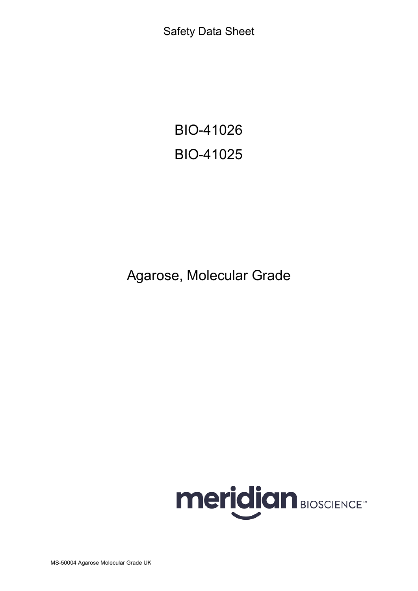Safety Data Sheet

BIO-41026 BIO-41025

Agarose, Molecular Grade

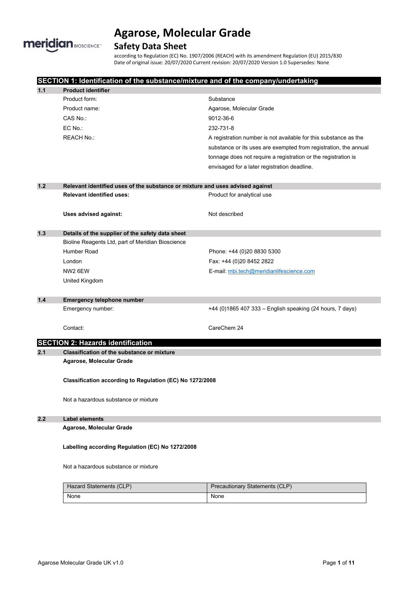

## **Safety Data Sheet**

according to Regulation (EC) No. 1907/2006 (REACH) with its amendment Regulation (EU) 2015/830 Date of original issue: 20/07/2020 Current revision: 20/07/2020 Version 1.0 Supersedes: None

|       | SECTION 1: Identification of the substance/mixture and of the company/undertaking |                                                                  |  |
|-------|-----------------------------------------------------------------------------------|------------------------------------------------------------------|--|
| 1.1   | <b>Product identifier</b>                                                         |                                                                  |  |
|       | Product form:                                                                     | Substance                                                        |  |
|       | Product name:                                                                     | Agarose, Molecular Grade                                         |  |
|       | CAS No.:                                                                          | 9012-36-6                                                        |  |
|       | EC No.:                                                                           | 232-731-8                                                        |  |
|       | <b>REACH No.:</b>                                                                 | A registration number is not available for this substance as the |  |
|       |                                                                                   | substance or its uses are exempted from registration, the annual |  |
|       |                                                                                   | tonnage does not require a registration or the registration is   |  |
|       |                                                                                   | envisaged for a later registration deadline.                     |  |
| $1.2$ | Relevant identified uses of the substance or mixture and uses advised against     |                                                                  |  |
|       | <b>Relevant identified uses:</b>                                                  | Product for analytical use                                       |  |
|       | Uses advised against:                                                             | Not described                                                    |  |
| 1.3   | Details of the supplier of the safety data sheet                                  |                                                                  |  |
|       | Bioline Reagents Ltd, part of Meridian Bioscience                                 |                                                                  |  |
|       | Humber Road                                                                       | Phone: +44 (0)20 8830 5300                                       |  |
|       | London                                                                            | Fax: +44 (0)20 8452 2822                                         |  |
|       | NW2 6EW                                                                           | E-mail: mbi.tech@meridianlifescience.com                         |  |
|       | United Kingdom                                                                    |                                                                  |  |
| 1.4   | <b>Emergency telephone number</b>                                                 |                                                                  |  |
|       | Emergency number:                                                                 | +44 (0)1865 407 333 - English speaking (24 hours, 7 days)        |  |
|       | Contact:                                                                          | CareChem 24                                                      |  |
|       | <b>SECTION 2: Hazards identification</b>                                          |                                                                  |  |
| 2.1   | <b>Classification of the substance or mixture</b>                                 |                                                                  |  |
|       | Agarose, Molecular Grade                                                          |                                                                  |  |
|       | Classification according to Regulation (EC) No 1272/2008                          |                                                                  |  |
|       |                                                                                   |                                                                  |  |
|       | Not a hazardous substance or mixture                                              |                                                                  |  |
|       | <b>Label elements</b>                                                             |                                                                  |  |
|       | Agarose, Molecular Grade                                                          |                                                                  |  |
|       | Labelling according Regulation (EC) No 1272/2008                                  |                                                                  |  |
| 2.2   | Not a hazardous substance or mixture                                              |                                                                  |  |
|       | Hazard Statements (CLP)                                                           | Precautionary Statements (CLP)                                   |  |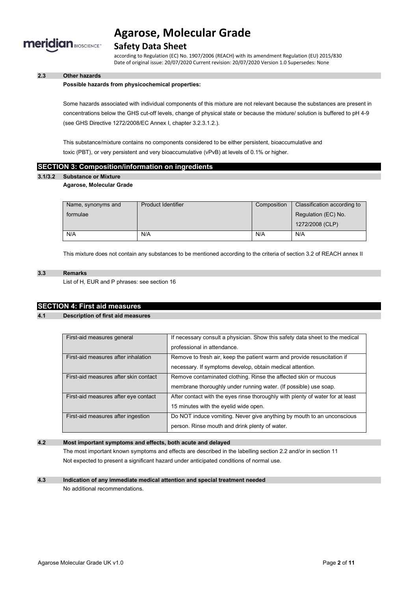

## **Safety Data Sheet**

according to Regulation (EC) No. 1907/2006 (REACH) with its amendment Regulation (EU) 2015/830 Date of original issue: 20/07/2020 Current revision: 20/07/2020 Version 1.0 Supersedes: None

### **2.3 Other hazards**

#### **Possible hazards from physicochemical properties:**

Some hazards associated with individual components of this mixture are not relevant because the substances are present in concentrations below the GHS cut-off levels, change of physical state or because the mixture/ solution is buffered to pH 4-9 (see GHS Directive 1272/2008/EC Annex I, chapter 3.2.3.1.2.).

This substance/mixture contains no components considered to be either persistent, bioaccumulative and toxic (PBT), or very persistent and very bioaccumulative (vPvB) at levels of 0.1% or higher.

### **SECTION 3: Composition/information on ingredients**

### **3.1/3.2 Substance or Mixture**

#### **Agarose, Molecular Grade**

| Name, synonyms and | <b>Product Identifier</b> | Composition | Classification according to |
|--------------------|---------------------------|-------------|-----------------------------|
| formulae           |                           |             | Regulation (EC) No.         |
|                    |                           |             | 1272/2008 (CLP)             |
| N/A                | N/A                       | N/A         | N/A                         |

This mixture does not contain any substances to be mentioned according to the criteria of section 3.2 of REACH annex II

### **3.3 Remarks**

List of H, EUR and P phrases: see section 16

### **SECTION 4: First aid measures**

**4.1 Description of first aid measures**

| First-aid measures general            | If necessary consult a physician. Show this safety data sheet to the medical   |  |
|---------------------------------------|--------------------------------------------------------------------------------|--|
|                                       | professional in attendance.                                                    |  |
| First-aid measures after inhalation   | Remove to fresh air, keep the patient warm and provide resuscitation if        |  |
|                                       | necessary. If symptoms develop, obtain medical attention.                      |  |
| First-aid measures after skin contact | Remove contaminated clothing. Rinse the affected skin or mucous                |  |
|                                       | membrane thoroughly under running water. (If possible) use soap.               |  |
| First-aid measures after eye contact  | After contact with the eyes rinse thoroughly with plenty of water for at least |  |
|                                       | 15 minutes with the eyelid wide open.                                          |  |
| First-aid measures after ingestion    | Do NOT induce vomiting. Never give anything by mouth to an unconscious         |  |
|                                       | person. Rinse mouth and drink plenty of water.                                 |  |

### **4.2 Most important symptoms and effects, both acute and delayed**

The most important known symptoms and effects are described in the labelling section 2.2 and/or in section 11 Not expected to present a significant hazard under anticipated conditions of normal use.

### **4.3 Indication of any immediate medical attention and special treatment needed**

No additional recommendations.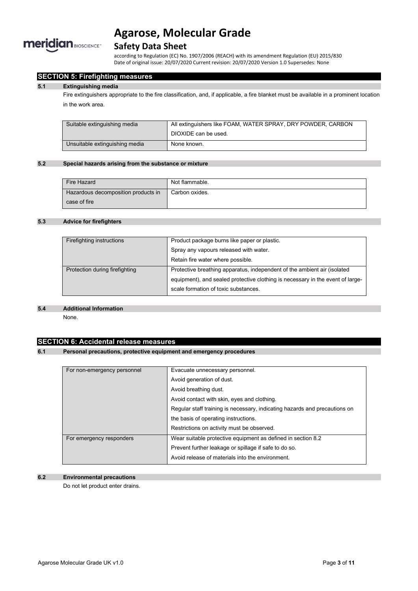

## **Safety Data Sheet**

according to Regulation (EC) No. 1907/2006 (REACH) with its amendment Regulation (EU) 2015/830 Date of original issue: 20/07/2020 Current revision: 20/07/2020 Version 1.0 Supersedes: None

## **SECTION 5: Firefighting measures**

#### **5.1 Extinguishing media**

Fire extinguishers appropriate to the fire classification, and, if applicable, a fire blanket must be available in a prominent location in the work area.

| Suitable extinguishing media   | All extinguishers like FOAM, WATER SPRAY, DRY POWDER, CARBON |
|--------------------------------|--------------------------------------------------------------|
|                                | DIOXIDE can be used.                                         |
| Unsuitable extinguishing media | None known.                                                  |

### **5.2 Special hazards arising from the substance or mixture**

| Fire Hazard                         | Not flammable. |
|-------------------------------------|----------------|
| Hazardous decomposition products in | Carbon oxides. |
| case of fire                        |                |

### **5.3 Advice for firefighters**

| Firefighting instructions      | Product package burns like paper or plastic.                                   |
|--------------------------------|--------------------------------------------------------------------------------|
|                                | Spray any vapours released with water.                                         |
|                                | Retain fire water where possible.                                              |
| Protection during firefighting | Protective breathing apparatus, independent of the ambient air (isolated       |
|                                | equipment), and sealed protective clothing is necessary in the event of large- |
|                                | scale formation of toxic substances.                                           |
|                                |                                                                                |

#### **5.4 Additional Information**

None.

## **SECTION 6: Accidental release measures**

### **6.1 Personal precautions, protective equipment and emergency procedures**

| For non-emergency personnel | Evacuate unnecessary personnel.                                            |
|-----------------------------|----------------------------------------------------------------------------|
|                             | Avoid generation of dust.                                                  |
|                             | Avoid breathing dust.                                                      |
|                             | Avoid contact with skin, eyes and clothing.                                |
|                             | Regular staff training is necessary, indicating hazards and precautions on |
|                             | the basis of operating instructions.                                       |
|                             | Restrictions on activity must be observed.                                 |
| For emergency responders    | Wear suitable protective equipment as defined in section 8.2               |
|                             | Prevent further leakage or spillage if safe to do so.                      |
|                             | Avoid release of materials into the environment.                           |

### **6.2 Environmental precautions**

Do not let product enter drains.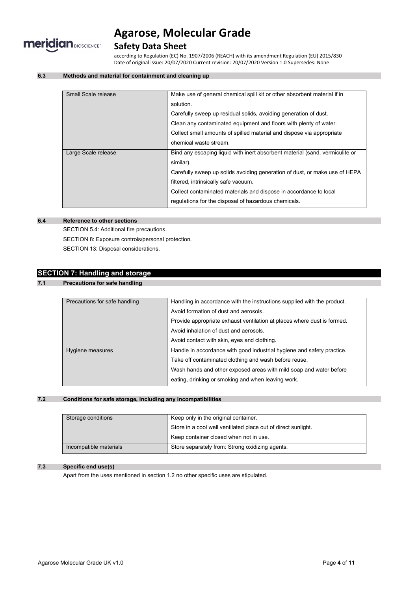

## **Safety Data Sheet**

according to Regulation (EC) No. 1907/2006 (REACH) with its amendment Regulation (EU) 2015/830 Date of original issue: 20/07/2020 Current revision: 20/07/2020 Version 1.0 Supersedes: None

### **6.3 Methods and material for containment and cleaning up**

| Small Scale release | Make use of general chemical spill kit or other absorbent material if in     |
|---------------------|------------------------------------------------------------------------------|
|                     | solution.                                                                    |
|                     | Carefully sweep up residual solids, avoiding generation of dust.             |
|                     | Clean any contaminated equipment and floors with plenty of water.            |
|                     | Collect small amounts of spilled material and dispose via appropriate        |
|                     | chemical waste stream.                                                       |
| Large Scale release | Bind any escaping liquid with inert absorbent material (sand, vermiculite or |
|                     | similar).                                                                    |
|                     | Carefully sweep up solids avoiding generation of dust, or make use of HEPA   |
|                     | filtered, intrinsically safe vacuum.                                         |
|                     | Collect contaminated materials and dispose in accordance to local            |
|                     | regulations for the disposal of hazardous chemicals.                         |

### **6.4 Reference to other sections**

SECTION 5.4: Additional fire precautions. SECTION 8: Exposure controls/personal protection. SECTION 13: Disposal considerations.

## **SECTION 7: Handling and storage**

## **7.1 Precautions for safe handling**

| Precautions for safe handling | Handling in accordance with the instructions supplied with the product. |
|-------------------------------|-------------------------------------------------------------------------|
|                               | Avoid formation of dust and aerosols.                                   |
|                               | Provide appropriate exhaust ventilation at places where dust is formed. |
|                               | Avoid inhalation of dust and aerosols.                                  |
|                               | Avoid contact with skin, eyes and clothing.                             |
| Hygiene measures              | Handle in accordance with good industrial hygiene and safety practice.  |
|                               | Take off contaminated clothing and wash before reuse.                   |
|                               | Wash hands and other exposed areas with mild soap and water before      |
|                               | eating, drinking or smoking and when leaving work.                      |
|                               |                                                                         |

### **7.2 Conditions for safe storage, including any incompatibilities**

| Storage conditions     | Keep only in the original container.                          |  |
|------------------------|---------------------------------------------------------------|--|
|                        | Store in a cool well ventilated place out of direct sunlight. |  |
|                        | Keep container closed when not in use.                        |  |
| Incompatible materials | Store separately from: Strong oxidizing agents.               |  |

#### **7.3 Specific end use(s)**

Apart from the uses mentioned in section 1.2 no other specific uses are stipulated.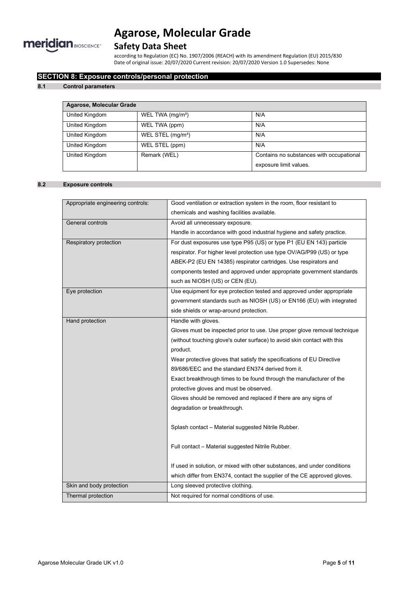

## **Safety Data Sheet**

according to Regulation (EC) No. 1907/2006 (REACH) with its amendment Regulation (EU) 2015/830 Date of original issue: 20/07/2020 Current revision: 20/07/2020 Version 1.0 Supersedes: None

## **SECTION 8: Exposure controls/personal protection**

### **8.1 Control parameters**

| Agarose, Molecular Grade |                               |                                          |  |
|--------------------------|-------------------------------|------------------------------------------|--|
| United Kingdom           | WEL TWA (mg/m <sup>3</sup> )  | N/A                                      |  |
| United Kingdom           | WEL TWA (ppm)                 | N/A                                      |  |
| United Kingdom           | WEL STEL (mg/m <sup>3</sup> ) | N/A                                      |  |
| United Kingdom           | WEL STEL (ppm)                | N/A                                      |  |
| United Kingdom           | Remark (WEL)                  | Contains no substances with occupational |  |
|                          |                               | exposure limit values.                   |  |

### **8.2 Exposure controls**

| Appropriate engineering controls: | Good ventilation or extraction system in the room, floor resistant to     |
|-----------------------------------|---------------------------------------------------------------------------|
|                                   | chemicals and washing facilities available.                               |
| General controls                  | Avoid all unnecessary exposure.                                           |
|                                   | Handle in accordance with good industrial hygiene and safety practice.    |
| Respiratory protection            | For dust exposures use type P95 (US) or type P1 (EU EN 143) particle      |
|                                   | respirator. For higher level protection use type OV/AG/P99 (US) or type   |
|                                   | ABEK-P2 (EU EN 14385) respirator cartridges. Use respirators and          |
|                                   | components tested and approved under appropriate government standards     |
|                                   | such as NIOSH (US) or CEN (EU).                                           |
| Eye protection                    | Use equipment for eye protection tested and approved under appropriate    |
|                                   | government standards such as NIOSH (US) or EN166 (EU) with integrated     |
|                                   | side shields or wrap-around protection.                                   |
| Hand protection                   | Handle with gloves.                                                       |
|                                   | Gloves must be inspected prior to use. Use proper glove removal technique |
|                                   | (without touching glove's outer surface) to avoid skin contact with this  |
|                                   | product.                                                                  |
|                                   | Wear protective gloves that satisfy the specifications of EU Directive    |
|                                   | 89/686/EEC and the standard EN374 derived from it.                        |
|                                   | Exact breakthrough times to be found through the manufacturer of the      |
|                                   | protective gloves and must be observed.                                   |
|                                   | Gloves should be removed and replaced if there are any signs of           |
|                                   | degradation or breakthrough.                                              |
|                                   |                                                                           |
|                                   | Splash contact - Material suggested Nitrile Rubber.                       |
|                                   |                                                                           |
|                                   | Full contact - Material suggested Nitrile Rubber.                         |
|                                   |                                                                           |
|                                   | If used in solution, or mixed with other substances, and under conditions |
|                                   | which differ from EN374, contact the supplier of the CE approved gloves.  |
| Skin and body protection          | Long sleeved protective clothing.                                         |
| Thermal protection                | Not required for normal conditions of use.                                |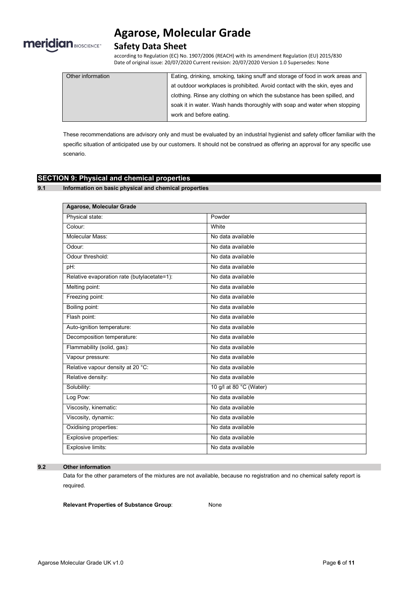

## **Safety Data Sheet**

according to Regulation (EC) No. 1907/2006 (REACH) with its amendment Regulation (EU) 2015/830 Date of original issue: 20/07/2020 Current revision: 20/07/2020 Version 1.0 Supersedes: None

| Other information | Eating, drinking, smoking, taking snuff and storage of food in work areas and |
|-------------------|-------------------------------------------------------------------------------|
|                   | at outdoor workplaces is prohibited. Avoid contact with the skin, eyes and    |
|                   | clothing. Rinse any clothing on which the substance has been spilled, and     |
|                   | soak it in water. Wash hands thoroughly with soap and water when stopping     |
|                   | work and before eating.                                                       |

These recommendations are advisory only and must be evaluated by an industrial hygienist and safety officer familiar with the specific situation of anticipated use by our customers. It should not be construed as offering an approval for any specific use scenario.

### **SECTION 9: Physical and chemical properties**

**9.1 Information on basic physical and chemical properties**

| <b>Agarose, Molecular Grade</b>             |                         |
|---------------------------------------------|-------------------------|
| Physical state:                             | Powder                  |
| Colour:                                     | White                   |
| Molecular Mass:                             | No data available       |
| Odour:                                      | No data available       |
| Odour threshold:                            | No data available       |
| pH:                                         | No data available       |
| Relative evaporation rate (butylacetate=1): | No data available       |
| Melting point:                              | No data available       |
| Freezing point:                             | No data available       |
| Boiling point:                              | No data available       |
| Flash point:                                | No data available       |
| Auto-ignition temperature:                  | No data available       |
| Decomposition temperature:                  | No data available       |
| Flammability (solid, gas):                  | No data available       |
| Vapour pressure:                            | No data available       |
| Relative vapour density at 20 °C:           | No data available       |
| Relative density:                           | No data available       |
| Solubility:                                 | 10 g/l at 80 °C (Water) |
| Log Pow:                                    | No data available       |
| Viscosity, kinematic:                       | No data available       |
| Viscosity, dynamic:                         | No data available       |
| Oxidising properties:                       | No data available       |
| Explosive properties:                       | No data available       |
| Explosive limits:                           | No data available       |

#### **9.2 Other information**

Data for the other parameters of the mixtures are not available, because no registration and no chemical safety report is required.

**Relevant Properties of Substance Group**: None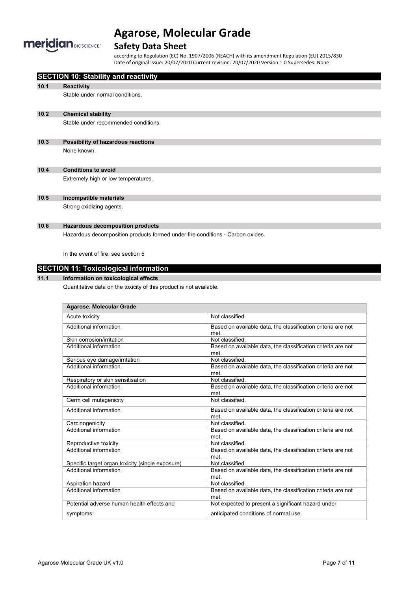

## **Safety Data Sheet**

according to Regulation (EC) No. 1907/2006 (REACH) with its amendment Regulation (EU) 2015/830 Date of original issue: 20/07/2020 Current revision: 20/07/2020 Version 1.0 Supersedes: None

|      | <b>SECTION 10: Stability and reactivity</b>                                    |
|------|--------------------------------------------------------------------------------|
| 10.1 | <b>Reactivity</b>                                                              |
|      | Stable under normal conditions.                                                |
| 10.2 | <b>Chemical stability</b>                                                      |
|      | Stable under recommended conditions.                                           |
| 10.3 | Possibility of hazardous reactions                                             |
|      | None known.                                                                    |
| 10.4 | <b>Conditions to avoid</b>                                                     |
|      | Extremely high or low temperatures.                                            |
| 10.5 | Incompatible materials                                                         |
|      | Strong oxidizing agents.                                                       |
| 10.6 | <b>Hazardous decomposition products</b>                                        |
|      | Hazardous decomposition products formed under fire conditions - Carbon oxides. |
|      | In the event of fire: see section 5                                            |
|      | <b>SECTION 11: Toxicological information</b>                                   |
| 11.1 | Information on toxicological effects                                           |
|      | Quantitative data on the toxicity of this product is not available.            |

| Agarose, Molecular Grade                         |                                                                      |
|--------------------------------------------------|----------------------------------------------------------------------|
| Acute toxicity                                   | Not classified.                                                      |
| Additional information                           | Based on available data, the classification criteria are not<br>met. |
| Skin corrosion/irritation                        | Not classified.                                                      |
| Additional information                           | Based on available data, the classification criteria are not<br>met. |
| Serious eye damage/irritation                    | Not classified.                                                      |
| Additional information                           | Based on available data, the classification criteria are not<br>met. |
| Respiratory or skin sensitisation                | Not classified.                                                      |
| Additional information                           | Based on available data, the classification criteria are not<br>met. |
| Germ cell mutagenicity                           | Not classified                                                       |
| Additional information                           | Based on available data, the classification criteria are not<br>met. |
| Carcinogenicity                                  | Not classified.                                                      |
| Additional information                           | Based on available data, the classification criteria are not<br>met. |
| Reproductive toxicity                            | Not classified.                                                      |
| Additional information                           | Based on available data, the classification criteria are not<br>met. |
| Specific target organ toxicity (single exposure) | Not classified.                                                      |
| Additional information                           | Based on available data, the classification criteria are not<br>met. |
| Aspiration hazard                                | Not classified.                                                      |
| Additional information                           | Based on available data, the classification criteria are not<br>met. |
| Potential adverse human health effects and       | Not expected to present a significant hazard under                   |
| symptoms:                                        | anticipated conditions of normal use.                                |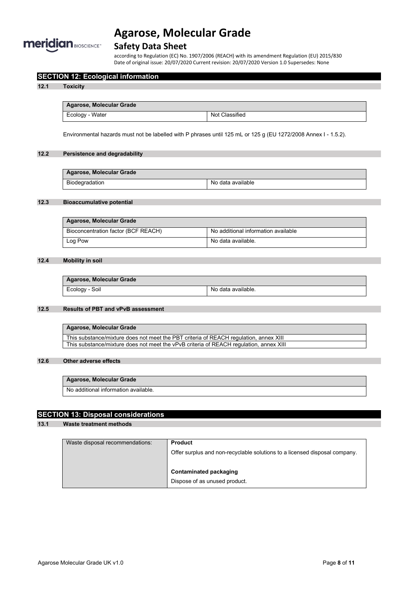

## **Safety Data Sheet**

according to Regulation (EC) No. 1907/2006 (REACH) with its amendment Regulation (EU) 2015/830 Date of original issue: 20/07/2020 Current revision: 20/07/2020 Version 1.0 Supersedes: None

### **SECTION 12: Ecological information**

#### **12.1 Toxicity**

| Agarose, Molecular Grade |                |
|--------------------------|----------------|
| Ecology - Water          | Not Classified |

Environmental hazards must not be labelled with P phrases until 125 mL or 125 g (EU 1272/2008 Annex I - 1.5.2).

### **12.2 Persistence and degradability**

| Agarose, Molecular Grade |                   |
|--------------------------|-------------------|
| Biodegradation           | No data available |

### **12.3 Bioaccumulative potential**

| Agarose, Molecular Grade            |                                     |
|-------------------------------------|-------------------------------------|
| Bioconcentration factor (BCF REACH) | No additional information available |
| Log Pow                             | No data available.                  |

#### **12.4 Mobility in soil**

| Agarose, Molecular Grade |                    |
|--------------------------|--------------------|
| Ecology - Soil           | No data available. |

#### **12.5 Results of PBT and vPvB assessment**

**Agarose, Molecular Grade** This substance/mixture does not meet the PBT criteria of REACH regulation, annex XIII This substance/mixture does not meet the vPvB criteria of REACH regulation, annex XIII

### **12.6 Other adverse effects**

### **Agarose, Molecular Grade**

No additional information available.

### **SECTION 13: Disposal considerations**

### **13.1 Waste treatment methods**

| Waste disposal recommendations: | <b>Product</b>                                                             |
|---------------------------------|----------------------------------------------------------------------------|
|                                 | Offer surplus and non-recyclable solutions to a licensed disposal company. |
|                                 | Contaminated packaging                                                     |
|                                 |                                                                            |
|                                 | Dispose of as unused product.                                              |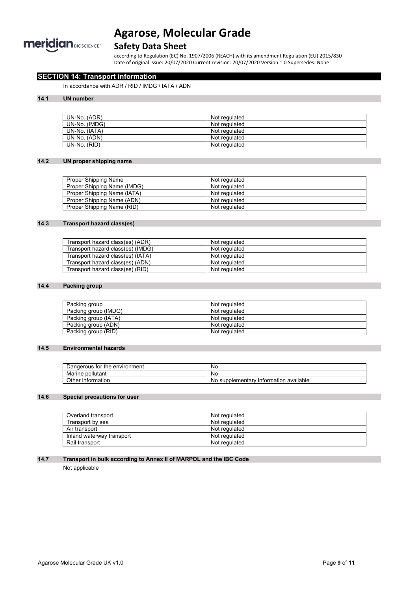

## **Safety Data Sheet**

according to Regulation (EC) No. 1907/2006 (REACH) with its amendment Regulation (EU) 2015/830 Date of original issue: 20/07/2020 Current revision: 20/07/2020 Version 1.0 Supersedes: None

## **SECTION 14: Transport information**

In accordance with ADR / RID / IMDG / IATA / ADN

### **14.1 UN number**

| UN-No. (ADR)  | Not regulated |
|---------------|---------------|
| UN-No. (IMDG) | Not regulated |
| UN-No. (IATA) | Not regulated |
| UN-No. (ADN)  | Not regulated |
| UN-No. (RID)  | Not regulated |

### **14.2 UN proper shipping name**

| Proper Shipping Name        | Not regulated |
|-----------------------------|---------------|
| Proper Shipping Name (IMDG) | Not regulated |
| Proper Shipping Name (IATA) | Not regulated |
| Proper Shipping Name (ADN)  | Not regulated |
| Proper Shipping Name (RID)  | Not regulated |

### **14.3 Transport hazard class(es)**

| Transport hazard class(es) (ADR)  | Not regulated |
|-----------------------------------|---------------|
| Transport hazard class(es) (IMDG) | Not regulated |
| Transport hazard class(es) (IATA) | Not regulated |
| Transport hazard class(es) (ADN)  | Not regulated |
| Transport hazard class(es) (RID)  | Not regulated |

### **14.4 Packing group**

| Packing group        | Not regulated |
|----------------------|---------------|
| Packing group (IMDG) | Not regulated |
| Packing group (IATA) | Not regulated |
| Packing group (ADN)  | Not regulated |
| Packing group (RID)  | Not regulated |

#### **14.5 Environmental hazards**

| the environment<br>tor<br>Dangerous | <b>No</b>                                            |
|-------------------------------------|------------------------------------------------------|
| pollutant<br>Marine                 | No.                                                  |
| Other<br>information                | available<br>∍ supplementarv<br>≀ information_<br>No |

## **14.6 Special precautions for user**

| Overland transport        | Not regulated |
|---------------------------|---------------|
| Transport by sea          | Not regulated |
| Air transport             | Not regulated |
| Inland waterway transport | Not regulated |
| Rail transport            | Not regulated |

### **14.7 Transport in bulk according to Annex II of MARPOL and the IBC Code**

Not applicable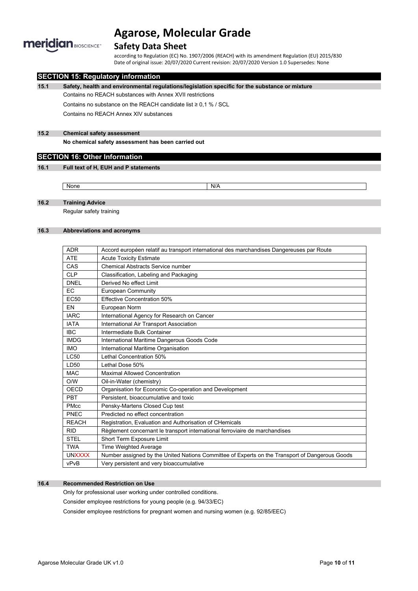

## **Safety Data Sheet**

according to Regulation (EC) No. 1907/2006 (REACH) with its amendment Regulation (EU) 2015/830 Date of original issue: 20/07/2020 Current revision: 20/07/2020 Version 1.0 Supersedes: None

### **SECTION 15: Regulatory information**

**15.1 Safety, health and environmental regulations/legislation specific for the substance or mixture**

Contains no REACH substances with Annex XVII restrictions

Contains no substance on the REACH candidate list ≥ 0,1 % / SCL

Contains no REACH Annex XIV substances

### **15.2 Chemical safety assessment**

**No chemical safety assessment has been carried out**

## **SECTION 16: Other Information**

### **16.1 Full text of H, EUH and P statements**

None None N/A

### **16.2 Training Advice**

Regular safety training

### **16.3 Abbreviations and acronyms**

| <b>ADR</b>       | Accord européen relatif au transport international des marchandises Dangereuses par Route      |
|------------------|------------------------------------------------------------------------------------------------|
| <b>ATE</b>       | <b>Acute Toxicity Estimate</b>                                                                 |
| CAS              | Chemical Abstracts Service number                                                              |
| <b>CLP</b>       | Classification, Labeling and Packaging                                                         |
| <b>DNEL</b>      | Derived No effect Limit                                                                        |
| EC               | European Community                                                                             |
| EC <sub>50</sub> | <b>Effective Concentration 50%</b>                                                             |
| EN               | European Norm                                                                                  |
| <b>IARC</b>      | International Agency for Research on Cancer                                                    |
| <b>IATA</b>      | International Air Transport Association                                                        |
| <b>IBC</b>       | Intermediate Bulk Container                                                                    |
| <b>IMDG</b>      | International Maritime Dangerous Goods Code                                                    |
| <b>IMO</b>       | International Maritime Organisation                                                            |
| LC50             | Lethal Concentration 50%                                                                       |
| LD50             | Lethal Dose 50%                                                                                |
| <b>MAC</b>       | <b>Maximal Allowed Concentration</b>                                                           |
| O/W              | Oil-in-Water (chemistry)                                                                       |
| OECD             | Organisation for Economic Co-operation and Development                                         |
| <b>PBT</b>       | Persistent, bioaccumulative and toxic                                                          |
| <b>PMcc</b>      | Pensky-Martens Closed Cup test                                                                 |
| PNEC             | Predicted no effect concentration                                                              |
| <b>REACH</b>     | Registration, Evaluation and Authorisation of CHemicals                                        |
| <b>RID</b>       | Règlement concernant le transport international ferroviaire de marchandises                    |
| <b>STEL</b>      | Short Term Exposure Limit                                                                      |
| <b>TWA</b>       | Time Weighted Average                                                                          |
| <b>UNXXXX</b>    | Number assigned by the United Nations Committee of Experts on the Transport of Dangerous Goods |
| vPvB             | Very persistent and very bioaccumulative                                                       |

### **16.4 Recommended Restriction on Use**

Only for professional user working under controlled conditions.

Consider employee restrictions for young people (e.g. 94/33/EC)

Consider employee restrictions for pregnant women and nursing women (e.g. 92/85/EEC)